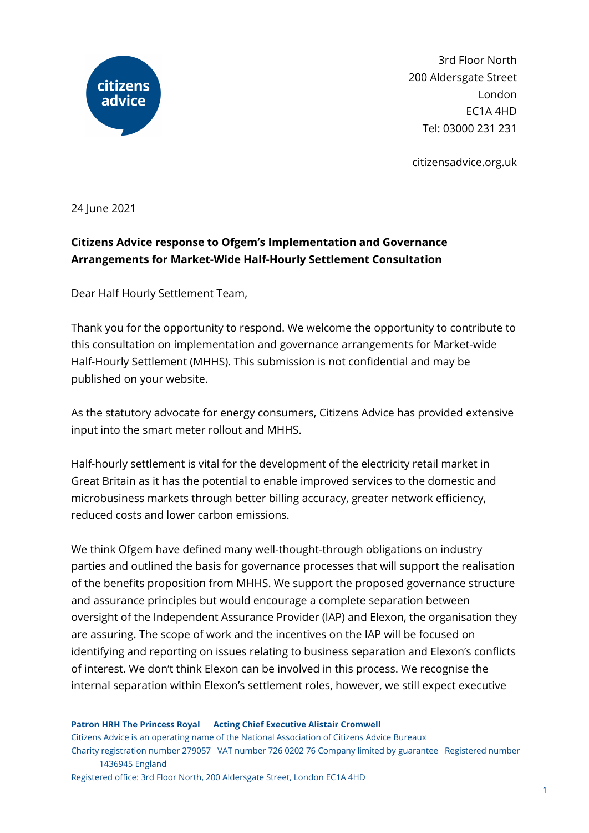

3rd Floor North 200 Aldersgate Street London EC1A 4HD Tel: 03000 231 231

citizensadvice.org.uk

24 June 2021

## **Citizens Advice response to Ofgem's Implementation and Governance Arrangements for Market-Wide Half-Hourly Settlement Consultation**

Dear Half Hourly Settlement Team,

Thank you for the opportunity to respond. We welcome the opportunity to contribute to this consultation on implementation and governance arrangements for Market-wide Half-Hourly Settlement (MHHS). This submission is not confidential and may be published on your website.

As the statutory advocate for energy consumers, Citizens Advice has provided extensive input into the smart meter rollout and MHHS.

Half-hourly settlement is vital for the development of the electricity retail market in Great Britain as it has the potential to enable improved services to the domestic and microbusiness markets through better billing accuracy, greater network efficiency, reduced costs and lower carbon emissions.

We think Ofgem have defined many well-thought-through obligations on industry parties and outlined the basis for governance processes that will support the realisation of the benefits proposition from MHHS. We support the proposed governance structure and assurance principles but would encourage a complete separation between oversight of the Independent Assurance Provider (IAP) and Elexon, the organisation they are assuring. The scope of work and the incentives on the IAP will be focused on identifying and reporting on issues relating to business separation and Elexon's conflicts of interest. We don't think Elexon can be involved in this process. We recognise the internal separation within Elexon's settlement roles, however, we still expect executive

**Patron HRH The Princess Royal Acting Chief Executive Alistair Cromwell**

Citizens Advice is an operating name of the National Association of Citizens Advice Bureaux

Charity registration number 279057 VAT number 726 0202 76 Company limited by guarantee Registered number 1436945 England

Registered office: 3rd Floor North, 200 Aldersgate Street, London EC1A 4HD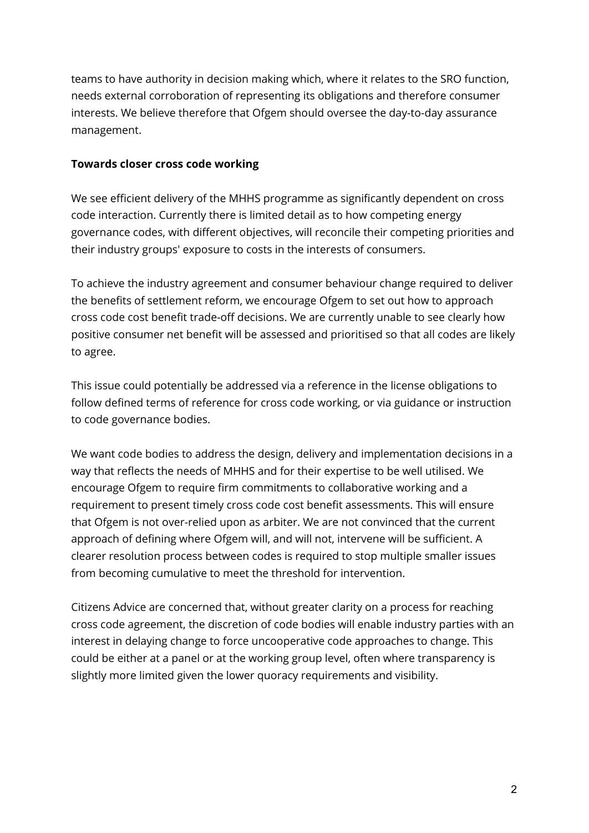teams to have authority in decision making which, where it relates to the SRO function, needs external corroboration of representing its obligations and therefore consumer interests. We believe therefore that Ofgem should oversee the day-to-day assurance management.

## **Towards closer cross code working**

We see efficient delivery of the MHHS programme as significantly dependent on cross code interaction. Currently there is limited detail as to how competing energy governance codes, with different objectives, will reconcile their competing priorities and their industry groups' exposure to costs in the interests of consumers.

To achieve the industry agreement and consumer behaviour change required to deliver the benefits of settlement reform, we encourage Ofgem to set out how to approach cross code cost benefit trade-off decisions. We are currently unable to see clearly how positive consumer net benefit will be assessed and prioritised so that all codes are likely to agree.

This issue could potentially be addressed via a reference in the license obligations to follow defined terms of reference for cross code working, or via guidance or instruction to code governance bodies.

We want code bodies to address the design, delivery and implementation decisions in a way that reflects the needs of MHHS and for their expertise to be well utilised. We encourage Ofgem to require firm commitments to collaborative working and a requirement to present timely cross code cost benefit assessments. This will ensure that Ofgem is not over-relied upon as arbiter. We are not convinced that the current approach of defining where Ofgem will, and will not, intervene will be sufficient. A clearer resolution process between codes is required to stop multiple smaller issues from becoming cumulative to meet the threshold for intervention.

Citizens Advice are concerned that, without greater clarity on a process for reaching cross code agreement, the discretion of code bodies will enable industry parties with an interest in delaying change to force uncooperative code approaches to change. This could be either at a panel or at the working group level, often where transparency is slightly more limited given the lower quoracy requirements and visibility.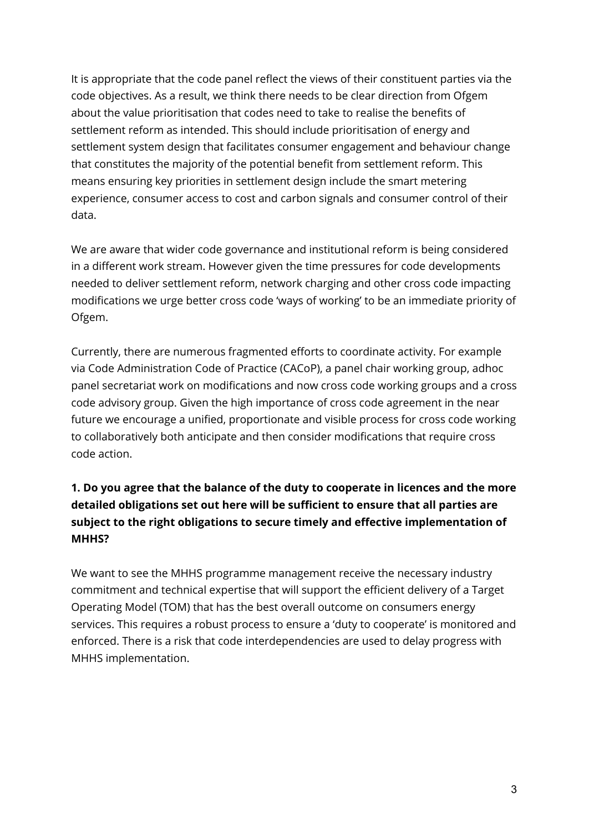It is appropriate that the code panel reflect the views of their constituent parties via the code objectives. As a result, we think there needs to be clear direction from Ofgem about the value prioritisation that codes need to take to realise the benefits of settlement reform as intended. This should include prioritisation of energy and settlement system design that facilitates consumer engagement and behaviour change that constitutes the majority of the potential benefit from settlement reform. This means ensuring key priorities in settlement design include the smart metering experience, consumer access to cost and carbon signals and consumer control of their data.

We are aware that wider code governance and institutional reform is being considered in a different work stream. However given the time pressures for code developments needed to deliver settlement reform, network charging and other cross code impacting modifications we urge better cross code 'ways of working' to be an immediate priority of Ofgem.

Currently, there are numerous fragmented efforts to coordinate activity. For example via Code Administration Code of Practice (CACoP), a panel chair working group, adhoc panel secretariat work on modifications and now cross code working groups and a cross code advisory group. Given the high importance of cross code agreement in the near future we encourage a unified, proportionate and visible process for cross code working to collaboratively both anticipate and then consider modifications that require cross code action.

## **1. Do you agree that the balance of the duty to cooperate in licences and the more detailed obligations set out here will be sufficient to ensure that all parties are subject to the right obligations to secure timely and effective implementation of MHHS?**

We want to see the MHHS programme management receive the necessary industry commitment and technical expertise that will support the efficient delivery of a Target Operating Model (TOM) that has the best overall outcome on consumers energy services. This requires a robust process to ensure a 'duty to cooperate' is monitored and enforced. There is a risk that code interdependencies are used to delay progress with MHHS implementation.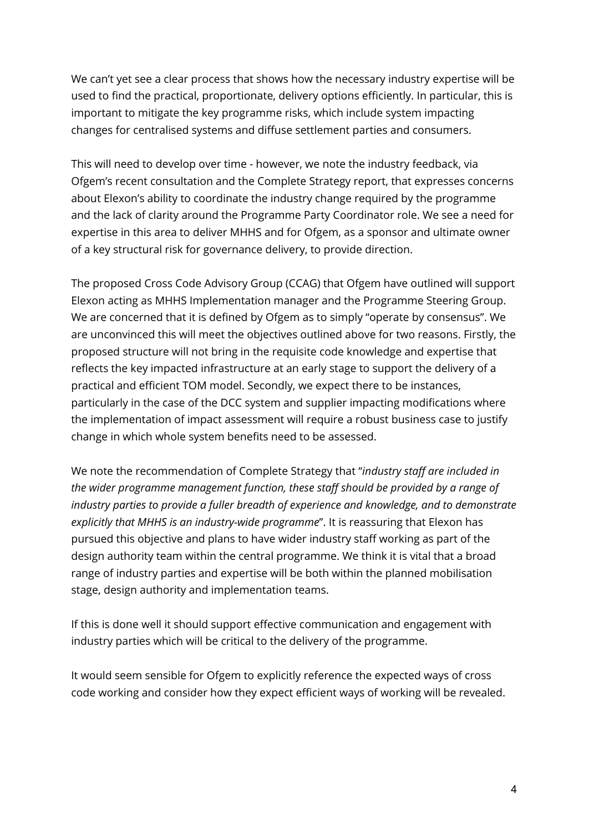We can't yet see a clear process that shows how the necessary industry expertise will be used to find the practical, proportionate, delivery options efficiently. In particular, this is important to mitigate the key programme risks, which include system impacting changes for centralised systems and diffuse settlement parties and consumers.

This will need to develop over time - however, we note the industry feedback, via Ofgem's recent consultation and the Complete Strategy report, that expresses concerns about Elexon's ability to coordinate the industry change required by the programme and the lack of clarity around the Programme Party Coordinator role. We see a need for expertise in this area to deliver MHHS and for Ofgem, as a sponsor and ultimate owner of a key structural risk for governance delivery, to provide direction.

The proposed Cross Code Advisory Group (CCAG) that Ofgem have outlined will support Elexon acting as MHHS Implementation manager and the Programme Steering Group. We are concerned that it is defined by Ofgem as to simply "operate by consensus". We are unconvinced this will meet the objectives outlined above for two reasons. Firstly, the proposed structure will not bring in the requisite code knowledge and expertise that reflects the key impacted infrastructure at an early stage to support the delivery of a practical and efficient TOM model. Secondly, we expect there to be instances, particularly in the case of the DCC system and supplier impacting modifications where the implementation of impact assessment will require a robust business case to justify change in which whole system benefits need to be assessed.

We note the recommendation of Complete Strategy that "*industry staff are included in the wider programme management function, these staff should be provided by a range of industry parties to provide a fuller breadth of experience and knowledge, and to demonstrate explicitly that MHHS is an industry-wide programme*". It is reassuring that Elexon has pursued this objective and plans to have wider industry staff working as part of the design authority team within the central programme. We think it is vital that a broad range of industry parties and expertise will be both within the planned mobilisation stage, design authority and implementation teams.

If this is done well it should support effective communication and engagement with industry parties which will be critical to the delivery of the programme.

It would seem sensible for Ofgem to explicitly reference the expected ways of cross code working and consider how they expect efficient ways of working will be revealed.